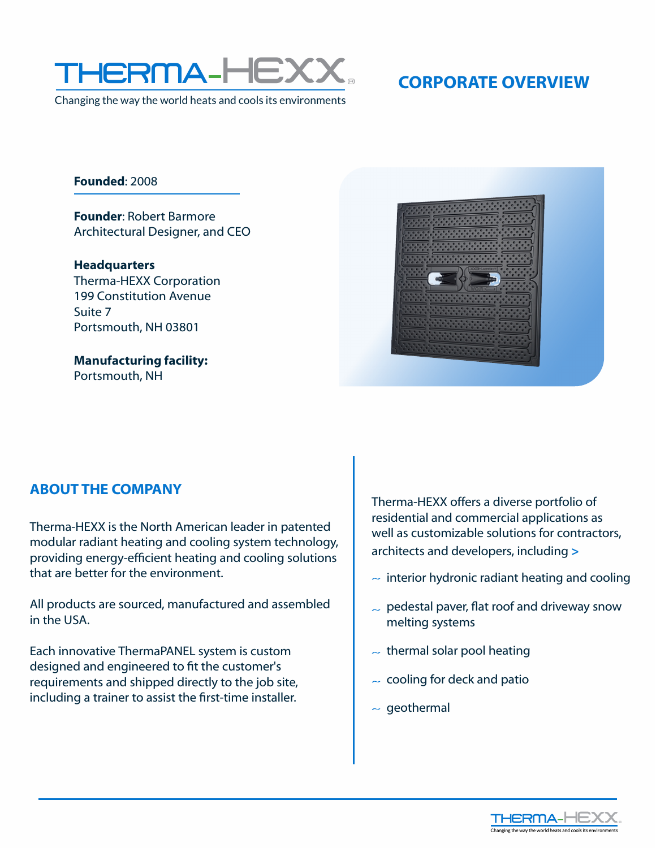

Changing the way the world heats and cools its environments

**Founded**:2008

**Founder: Robert Barmore** Architectural Designer, and CEO

**Headquarters**  Therma-HEXX Corporation 199 Constitution Avenue Suite 7 Portsmouth, NH 03801

**Manufacturing facility:** Portsmouth, NH



## **ABOUT THE COMPANY**

Therma-HEXX is the North American leader in patented modular radiant heating and cooling system technology, providing energy-efficient heating and cooling solutions that are better for the environment.

All products are sourced, manufactured and assembled in the USA.

Each innovative ThermaPANEL system is custom designed and engineered to fit the customer's requirements and shipped directly to the job site, including a trainer to assist the first-time installer.

Therma-HEXX offers a diverse portfolio of residential and commercial applications as well as customizable solutions for contractors, architects and developers, including **>**

- $\sim$  interior hydronic radiant heating and cooling
- $\sim$  pedestal paver, flat roof and driveway snow melting systems
- $\sim$  thermal solar pool heating
- $\sim$  cooling for deck and patio
- $\sim$  geothermal